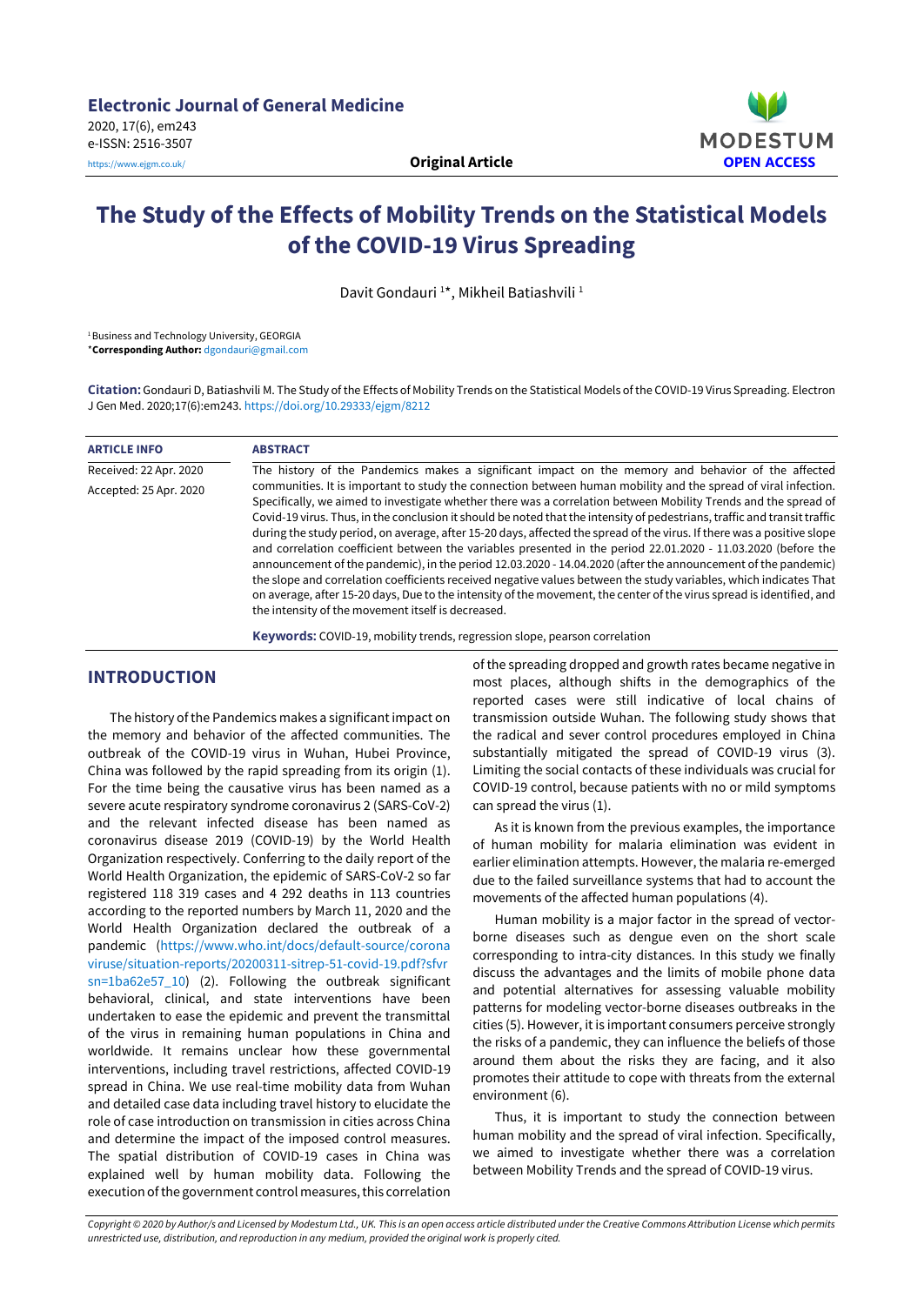

# **The Study of the Effects of Mobility Trends on the Statistical Models of the COVID-19 Virus Spreading**

Davit Gondauri<sup>1\*</sup>, Mikheil Batiashvili<sup>1</sup>

<sup>1</sup> Business and Technology University, GEORGIA \***Corresponding Author:** [dgondauri@gmail.com](mailto:dgondauri@gmail.com)

**Citation:** Gondauri D, Batiashvili M. The Study of the Effects of Mobility Trends on the Statistical Models of the COVID-19 Virus Spreading. Electron J Gen Med. 2020;17(6):em243. <https://doi.org/10.29333/ejgm/8212>

| <b>ARTICLE INFO</b>    | <b>ABSTRACT</b>                                                                                                                                                                                                                                                                                                                                                                                                                                                                                                                                                                                                                                                                                                                                                                                                                                                                                                                                                                                                                |  |  |  |  |  |  |
|------------------------|--------------------------------------------------------------------------------------------------------------------------------------------------------------------------------------------------------------------------------------------------------------------------------------------------------------------------------------------------------------------------------------------------------------------------------------------------------------------------------------------------------------------------------------------------------------------------------------------------------------------------------------------------------------------------------------------------------------------------------------------------------------------------------------------------------------------------------------------------------------------------------------------------------------------------------------------------------------------------------------------------------------------------------|--|--|--|--|--|--|
| Received: 22 Apr. 2020 | The history of the Pandemics makes a significant impact on the memory and behavior of the affected                                                                                                                                                                                                                                                                                                                                                                                                                                                                                                                                                                                                                                                                                                                                                                                                                                                                                                                             |  |  |  |  |  |  |
| Accepted: 25 Apr. 2020 | communities. It is important to study the connection between human mobility and the spread of viral infection.<br>Specifically, we aimed to investigate whether there was a correlation between Mobility Trends and the spread of<br>Covid-19 virus. Thus, in the conclusion it should be noted that the intensity of pedestrians, traffic and transit traffic<br>during the study period, on average, after 15-20 days, affected the spread of the virus. If there was a positive slope<br>and correlation coefficient between the variables presented in the period 22.01.2020 - 11.03.2020 (before the<br>announcement of the pandemic), in the period 12.03.2020 - 14.04.2020 (after the announcement of the pandemic)<br>the slope and correlation coefficients received negative values between the study variables, which indicates That<br>on average, after 15-20 days, Due to the intensity of the movement, the center of the virus spread is identified, and<br>the intensity of the movement itself is decreased. |  |  |  |  |  |  |
|                        | Keywords: COVID-19, mobility trends, regression slope, pearson correlation                                                                                                                                                                                                                                                                                                                                                                                                                                                                                                                                                                                                                                                                                                                                                                                                                                                                                                                                                     |  |  |  |  |  |  |

# **INTRODUCTION**

The history of the Pandemics makes a significant impact on the memory and behavior of the affected communities. The outbreak of the COVID-19 virus in Wuhan, Hubei Province, China was followed by the rapid spreading from its origin (1). For the time being the causative virus has been named as a severe acute respiratory syndrome coronavirus 2 (SARS-CoV-2) and the relevant infected disease has been named as coronavirus disease 2019 (COVID-19) by the World Health Organization respectively. Conferring to the daily report of the World Health Organization, the epidemic of SARS-CoV-2 so far registered 118 319 cases and 4 292 deaths in 113 countries according to the reported numbers by March 11, 2020 and the World Health Organization declared the outbreak of a pandemic [\(https://www.who.int/docs/default-source/corona](https://www.who.int/docs/default-source/coronaviruse/situation-reports/20200311-sitrep-51-covid-19.pdf?sfvrsn=1ba62e57_10) [viruse/situation-reports/20200311-sitrep-51-covid-19.pdf?sfvr](https://www.who.int/docs/default-source/coronaviruse/situation-reports/20200311-sitrep-51-covid-19.pdf?sfvrsn=1ba62e57_10) [sn=1ba62e57\\_10\)](https://www.who.int/docs/default-source/coronaviruse/situation-reports/20200311-sitrep-51-covid-19.pdf?sfvrsn=1ba62e57_10) (2). Following the outbreak significant behavioral, clinical, and state interventions have been undertaken to ease the epidemic and prevent the transmittal of the virus in remaining human populations in China and worldwide. It remains unclear how these governmental interventions, including travel restrictions, affected COVID-19 spread in China. We use real-time mobility data from Wuhan and detailed case data including travel history to elucidate the role of case introduction on transmission in cities across China and determine the impact of the imposed control measures. The spatial distribution of COVID-19 cases in China was explained well by human mobility data. Following the execution of the government control measures, this correlation

of the spreading dropped and growth rates became negative in most places, although shifts in the demographics of the reported cases were still indicative of local chains of transmission outside Wuhan. The following study shows that the radical and sever control procedures employed in China substantially mitigated the spread of COVID-19 virus (3). Limiting the social contacts of these individuals was crucial for COVID-19 control, because patients with no or mild symptoms can spread the virus (1).

As it is known from the previous examples, the importance of human mobility for malaria elimination was evident in earlier elimination attempts. However, the malaria re-emerged due to the failed surveillance systems that had to account the movements of the affected human populations (4).

Human mobility is a major factor in the spread of vectorborne diseases such as dengue even on the short scale corresponding to intra-city distances. In this study we finally discuss the advantages and the limits of mobile phone data and potential alternatives for assessing valuable mobility patterns for modeling vector-borne diseases outbreaks in the cities (5). However, it is important consumers perceive strongly the risks of a pandemic, they can influence the beliefs of those around them about the risks they are facing, and it also promotes their attitude to cope with threats from the external environment (6).

Thus, it is important to study the connection between human mobility and the spread of viral infection. Specifically, we aimed to investigate whether there was a correlation between Mobility Trends and the spread of COVID-19 virus.

Copyright © 2020 by Author/s and Licensed by Modestum Ltd., UK. This is an open access article distributed under the Creative Commons Attribution License which permits *unrestricted use, distribution, and reproduction in any medium, provided the original work is properly cited.*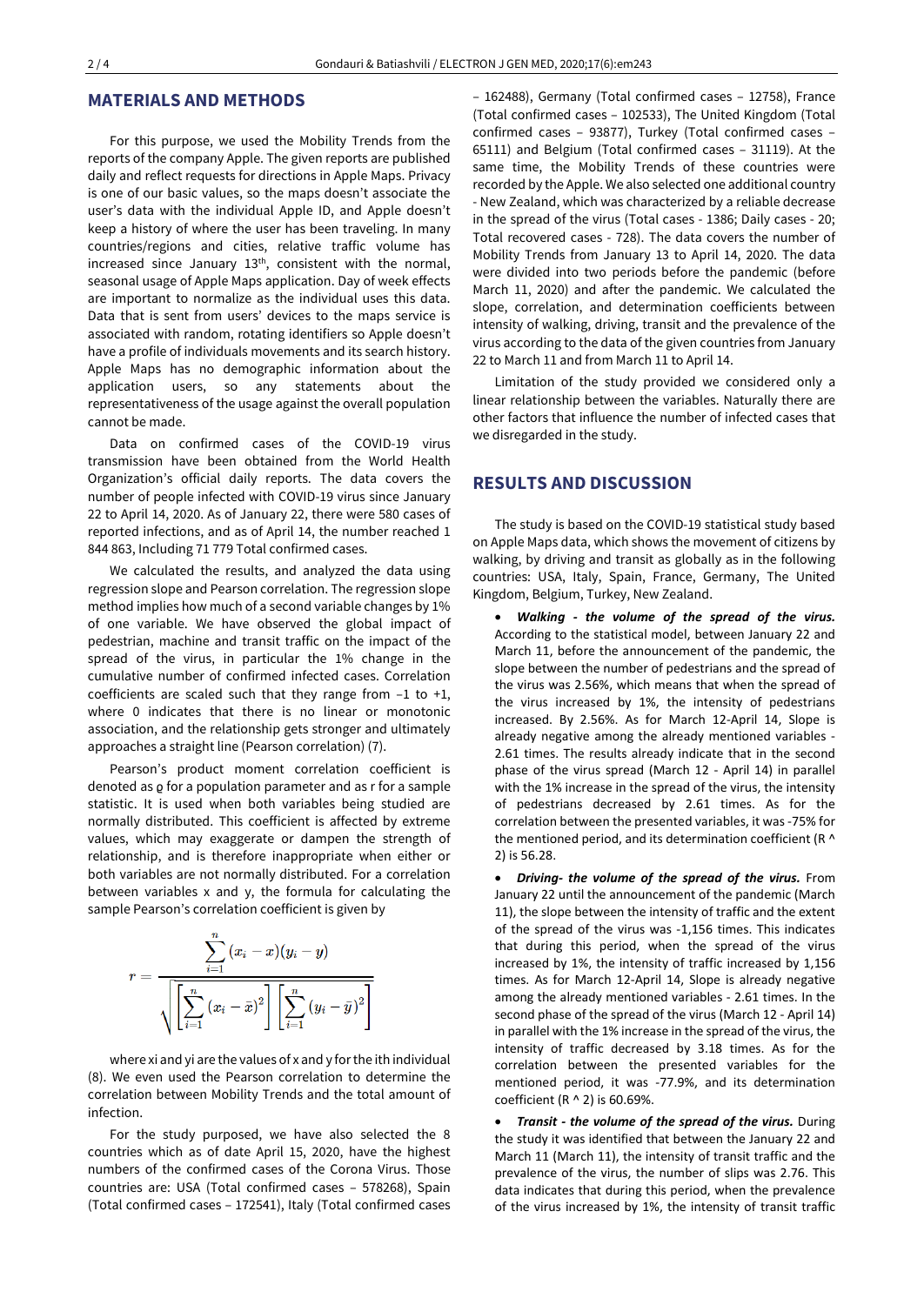#### **MATERIALS AND METHODS**

For this purpose, we used the Mobility Trends from the reports of the company Apple. The given reports are published daily and reflect requests for directions in Apple Maps. Privacy is one of our basic values, so the maps doesn't associate the user's data with the individual Apple ID, and Apple doesn't keep a history of where the user has been traveling. In many countries/regions and cities, relative traffic volume has increased since January 13<sup>th</sup>, consistent with the normal, seasonal usage of Apple Maps application. Day of week effects are important to normalize as the individual uses this data. Data that is sent from users' devices to the maps service is associated with random, rotating identifiers so Apple doesn't have a profile of individuals movements and its search history. Apple Maps has no demographic information about the application users, so any statements about the representativeness of the usage against the overall population cannot be made.

Data on confirmed cases of the COVID-19 virus transmission have been obtained from the World Health Organization's official daily reports. The data covers the number of people infected with COVID-19 virus since January 22 to April 14, 2020. As of January 22, there were 580 cases of reported infections, and as of April 14, the number reached 1 844 863, Including 71 779 Total confirmed cases.

We calculated the results, and analyzed the data using regression slope and Pearson correlation. The regression slope method implies how much of a second variable changes by 1% of one variable. We have observed the global impact of pedestrian, machine and transit traffic on the impact of the spread of the virus, in particular the 1% change in the cumulative number of confirmed infected cases. Correlation coefficients are scaled such that they range from  $-1$  to  $+1$ , where 0 indicates that there is no linear or monotonic association, and the relationship gets stronger and ultimately approaches a straight line (Pearson correlation) (7).

Pearson's product moment correlation coefficient is denoted as  $\varrho$  for a population parameter and as r for a sample statistic. It is used when both variables being studied are normally distributed. This coefficient is affected by extreme values, which may exaggerate or dampen the strength of relationship, and is therefore inappropriate when either or both variables are not normally distributed. For a correlation between variables x and y, the formula for calculating the sample Pearson's correlation coefficient is given by

$$
r=\dfrac{\displaystyle\sum_{i=1}^n(x_i-x)(y_i-y)}{\sqrt{\left[\displaystyle\sum_{i=1}^n\left(x_i-\bar{x}\right)^2\right]\left[\displaystyle\sum_{i=1}^n\left(y_i-\bar{y}\right)^2\right]}}
$$

where xi and yi are the values of x and y forthe ith individual (8). We even used the Pearson correlation to determine the correlation between Mobility Trends and the total amount of infection.

For the study purposed, we have also selected the 8 countries which as of date April 15, 2020, have the highest numbers of the confirmed cases of the Corona Virus. Those countries are: USA (Total confirmed cases – 578268), Spain (Total confirmed cases – 172541), Italy (Total confirmed cases – 162488), Germany (Total confirmed cases – 12758), France (Total confirmed cases – 102533), The United Kingdom (Total confirmed cases – 93877), Turkey (Total confirmed cases – 65111) and Belgium (Total confirmed cases – 31119). At the same time, the Mobility Trends of these countries were recorded by the Apple. We also selected one additional country - New Zealand, which was characterized by a reliable decrease in the spread of the virus (Total cases - 1386; Daily cases - 20; Total recovered cases - 728). The data covers the number of Mobility Trends from January 13 to April 14, 2020. The data were divided into two periods before the pandemic (before March 11, 2020) and after the pandemic. We calculated the slope, correlation, and determination coefficients between intensity of walking, driving, transit and the prevalence of the virus according to the data of the given countries from January 22 to March 11 and from March 11 to April 14.

Limitation of the study provided we considered only a linear relationship between the variables. Naturally there are other factors that influence the number of infected cases that we disregarded in the study.

### **RESULTS AND DISCUSSION**

The study is based on the COVID-19 statistical study based on Apple Maps data, which shows the movement of citizens by walking, by driving and transit as globally as in the following countries: USA, Italy, Spain, France, Germany, The United Kingdom, Belgium, Turkey, New Zealand.

• *Walking - the volume of the spread of the virus.* According to the statistical model, between January 22 and March 11, before the announcement of the pandemic, the slope between the number of pedestrians and the spread of the virus was 2.56%, which means that when the spread of the virus increased by 1%, the intensity of pedestrians increased. By 2.56%. As for March 12-April 14, Slope is already negative among the already mentioned variables - 2.61 times. The results already indicate that in the second phase of the virus spread (March 12 - April 14) in parallel with the 1% increase in the spread of the virus, the intensity of pedestrians decreased by 2.61 times. As for the correlation between the presented variables, it was -75% for the mentioned period, and its determination coefficient (R ^ 2) is 56.28.

• *Driving- the volume of the spread of the virus.* From January 22 until the announcement of the pandemic (March 11), the slope between the intensity of traffic and the extent of the spread of the virus was -1,156 times. This indicates that during this period, when the spread of the virus increased by 1%, the intensity of traffic increased by 1,156 times. As for March 12-April 14, Slope is already negative among the already mentioned variables - 2.61 times. In the second phase of the spread of the virus (March 12 - April 14) in parallel with the 1% increase in the spread of the virus, the intensity of traffic decreased by 3.18 times. As for the correlation between the presented variables for the mentioned period, it was -77.9%, and its determination coefficient (R ^ 2) is 60.69%.

• *Transit - the volume of the spread of the virus.* During the study it was identified that between the January 22 and March 11 (March 11), the intensity of transit traffic and the prevalence of the virus, the number of slips was 2.76. This data indicates that during this period, when the prevalence of the virus increased by 1%, the intensity of transit traffic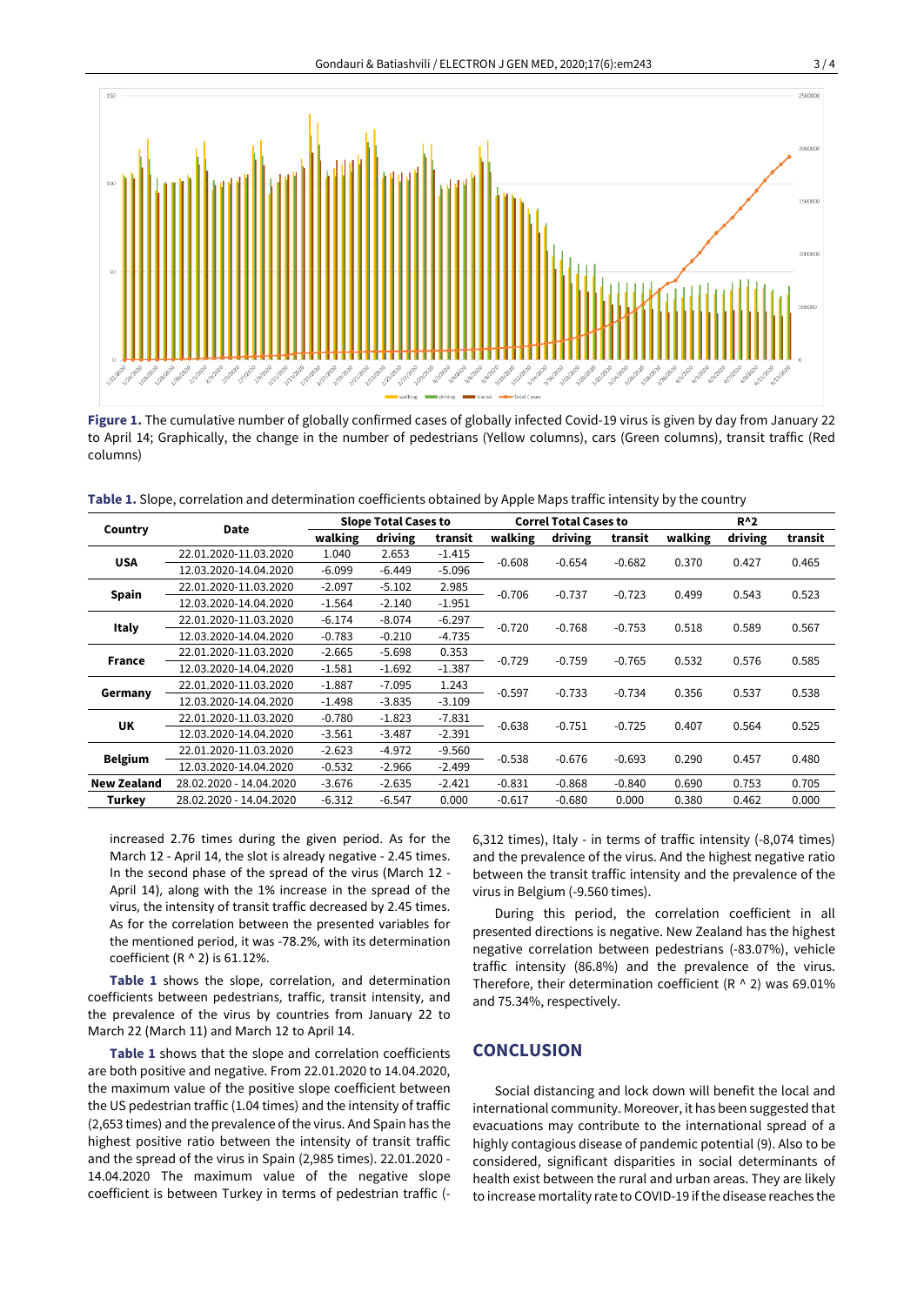

**Figure 1.** The cumulative number of globally confirmed cases of globally infected Covid-19 virus is given by day from January 22 to April 14; Graphically, the change in the number of pedestrians (Yellow columns), cars (Green columns), transit traffic (Red columns)

| Table 1. Slope, correlation and determination coefficients obtained by Apple Maps traffic intensity by the country |
|--------------------------------------------------------------------------------------------------------------------|
|--------------------------------------------------------------------------------------------------------------------|

| Country            | Date                    | <b>Slope Total Cases to</b> |          |          | <b>Correl Total Cases to</b> |          |          | $R^{\wedge}2$ |         |         |
|--------------------|-------------------------|-----------------------------|----------|----------|------------------------------|----------|----------|---------------|---------|---------|
|                    |                         | walking                     | driving  | transit  | walking                      | driving  | transit  | walking       | driving | transit |
| <b>USA</b>         | 22.01.2020-11.03.2020   | 1.040                       | 2.653    | $-1.415$ | $-0.608$                     | $-0.654$ | $-0.682$ | 0.370         | 0.427   | 0.465   |
|                    | 12.03.2020-14.04.2020   | $-6.099$                    | $-6.449$ | $-5.096$ |                              |          |          |               |         |         |
| <b>Spain</b>       | 22.01.2020-11.03.2020   | $-2.097$                    | $-5.102$ | 2.985    | $-0.706$                     | $-0.737$ | $-0.723$ | 0.499         | 0.543   | 0.523   |
|                    | 12.03.2020-14.04.2020   | $-1.564$                    | $-2.140$ | $-1.951$ |                              |          |          |               |         |         |
| <b>Italy</b>       | 22.01.2020-11.03.2020   | $-6.174$                    | $-8.074$ | $-6.297$ | $-0.720$                     | $-0.768$ | $-0.753$ | 0.518         | 0.589   | 0.567   |
|                    | 12.03.2020-14.04.2020   | $-0.783$                    | $-0.210$ | $-4.735$ |                              |          |          |               |         |         |
| France             | 22.01.2020-11.03.2020   | $-2.665$                    | $-5.698$ | 0.353    | $-0.729$                     | $-0.759$ | $-0.765$ | 0.532         | 0.576   | 0.585   |
|                    | 12.03.2020-14.04.2020   | $-1.581$                    | $-1.692$ | $-1.387$ |                              |          |          |               |         |         |
| Germany            | 22.01.2020-11.03.2020   | $-1.887$                    | $-7.095$ | 1.243    | $-0.597$                     | $-0.733$ | $-0.734$ | 0.356         | 0.537   | 0.538   |
|                    | 12.03.2020-14.04.2020   | $-1.498$                    | $-3.835$ | $-3.109$ |                              |          |          |               |         |         |
| UK                 | 22.01.2020-11.03.2020   | $-0.780$                    | $-1.823$ | $-7.831$ | $-0.638$                     | $-0.751$ | $-0.725$ | 0.407         | 0.564   | 0.525   |
|                    | 12.03.2020-14.04.2020   | $-3.561$                    | $-3.487$ | $-2.391$ |                              |          |          |               |         |         |
| <b>Belgium</b>     | 22.01.2020-11.03.2020   | $-2.623$                    | $-4.972$ | $-9.560$ | $-0.538$                     | $-0.676$ | $-0.693$ | 0.290         | 0.457   | 0.480   |
|                    | 12.03.2020-14.04.2020   | $-0.532$                    | $-2.966$ | $-2.499$ |                              |          |          |               |         |         |
| <b>New Zealand</b> | 28.02.2020 - 14.04.2020 | $-3.676$                    | $-2.635$ | $-2.421$ | $-0.831$                     | $-0.868$ | $-0.840$ | 0.690         | 0.753   | 0.705   |
| Turkey             | 28.02.2020 - 14.04.2020 | $-6.312$                    | $-6.547$ | 0.000    | $-0.617$                     | $-0.680$ | 0.000    | 0.380         | 0.462   | 0.000   |

increased 2.76 times during the given period. As for the March 12 - April 14, the slot is already negative - 2.45 times. In the second phase of the spread of the virus (March 12 - April 14), along with the 1% increase in the spread of the virus, the intensity of transit traffic decreased by 2.45 times. As for the correlation between the presented variables for the mentioned period, it was -78.2%, with its determination coefficient ( $R \wedge 2$ ) is 61.12%.

**Table 1** shows the slope, correlation, and determination coefficients between pedestrians, traffic, transit intensity, and the prevalence of the virus by countries from January 22 to March 22 (March 11) and March 12 to April 14.

**Table 1** shows that the slope and correlation coefficients are both positive and negative. From 22.01.2020 to 14.04.2020, the maximum value of the positive slope coefficient between the US pedestrian traffic (1.04 times) and the intensity of traffic (2,653 times) and the prevalence of the virus. And Spain has the highest positive ratio between the intensity of transit traffic and the spread of the virus in Spain (2,985 times). 22.01.2020 - 14.04.2020 The maximum value of the negative slope coefficient is between Turkey in terms of pedestrian traffic (- 6,312 times), Italy - in terms of traffic intensity (-8,074 times) and the prevalence of the virus. And the highest negative ratio between the transit traffic intensity and the prevalence of the virus in Belgium (-9.560 times).

During this period, the correlation coefficient in all presented directions is negative. New Zealand has the highest negative correlation between pedestrians (-83.07%), vehicle traffic intensity (86.8%) and the prevalence of the virus. Therefore, their determination coefficient (R  $\land$  2) was 69.01% and 75.34%, respectively.

## **CONCLUSION**

Social distancing and lock down will benefit the local and international community. Moreover, it has been suggested that evacuations may contribute to the international spread of a highly contagious disease of pandemic potential (9). Also to be considered, significant disparities in social determinants of health exist between the rural and urban areas. They are likely to increase mortality rate to COVID-19 if the disease reaches the